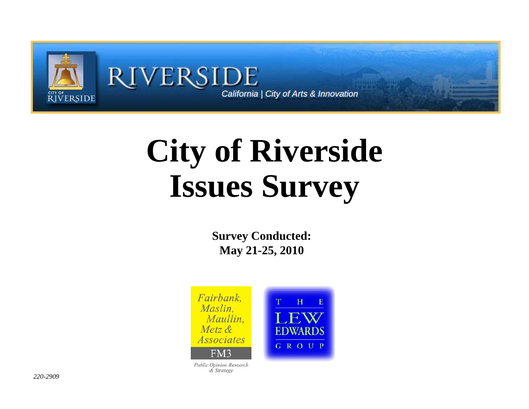

# **City of Riverside I S ssues Survey**

**Survey Conducted: May 21-25, 2010**



& Strategy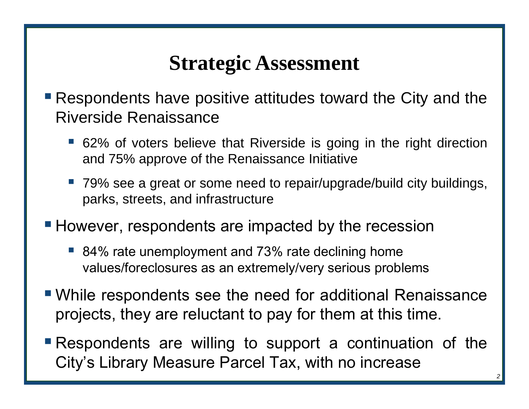# **Strategic Assessment**

- Respondents have positive attitudes toward the City and the Riverside Renaissance
	- 62% of voters believe that Riverside is going in the right direction and 75% approve of the Renaissance Initiative
	- ■ 79% see a great or some need to repair/upgrade/build city buildings, parks, streets, and infrastructure
- **However, respondents are impacted by the recession** 
	- 84% rate unemployment and 73% rate declining home values/foreclosures as an extremely/very serious problems
- While respondents see the need for additional Renaissance projects, they are reluctant to pay for them at this time.
- Respondents are willing to support <sup>a</sup> continuation <sup>o</sup> f the City's Library Measure Parcel Tax, with no increase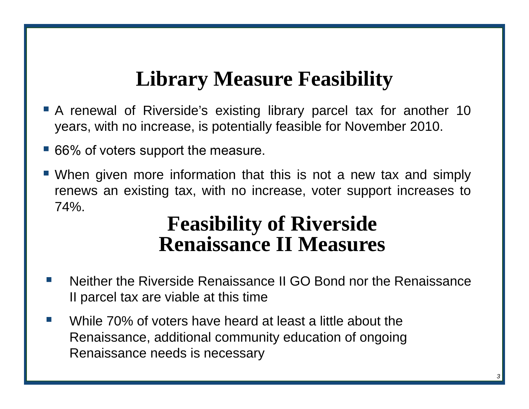# **Lib M F ibilit Librar y Measure Feasibility**

- A renewal of Riverside's existing library parcel tax for another 10 years, with no increase, is potentially feasible for November 2010.
- 66% of voters support the measure.
- When given more information that this is not a new tax and simply renews an existing tax, with no increase, voter support increases to 74%.

#### **Feasibility of Riverside Renaissance II Measures**

- F. Neither the Riverside Renaissance II GO Bond nor the Renaissance II parcel tax are viable at this time
- $\mathcal{L}^{\mathcal{A}}$  While 70% of voters have heard at least a little about the Renaissance, additional community education of ongoing Renaissance needs is necessary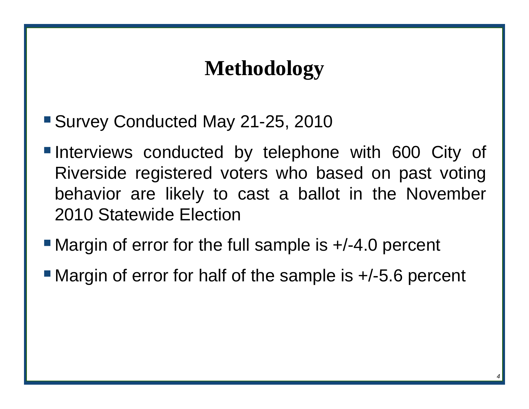# **Me odo ogy thodology**

- Survey Conducted May 21-25, 2010
- Interviews conducted by telephone with 600 City of Riverside registered voters who based on past voting behavior are likely to cast <sup>a</sup> ballot in the November 2010 Statewide Election
- Margin of error for the full sample is +/-4.0 percent
- Margin of error for half of the sample is  $+/-5.6$  percent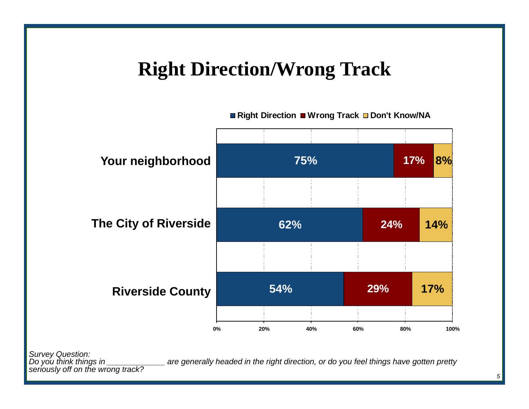#### **Right Direction/Wrong Track**



*Survey Question:*

are generally headed in the right direction, or do you feel things have gotten pretty *seriously off on the wrong track?*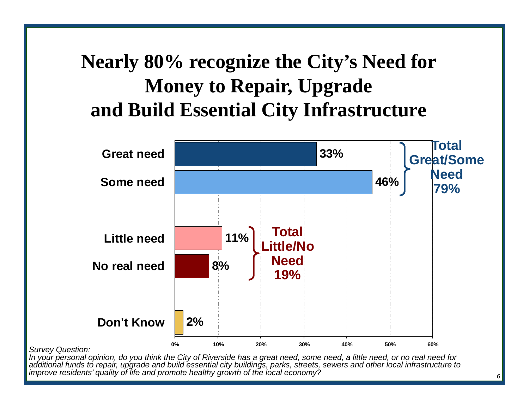# **Nearly 80% recognize the City's Need for Money to Repair, Upgrade and Build Essential City Infrastructure**



*In your personal opinion, do you think the City of Riverside has a great need, some need, a little need, or no real need for additional funds to repair, upgrade and build essential city buildings, parks, streets, sewers and other local infrastructure to improve residents' quality of life and promote healthy growth of the local economy?*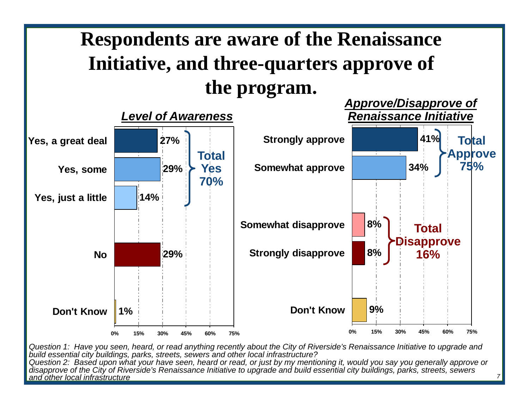

*Question 1: Have you seen, heard, or read anything recently about the City of Riverside's Renaissance Initiative to upgrade an dbuild essential city buildings, parks, streets, sewers and other local infrastructure? Question 2: Based upon what your have seen, heard or read, or just by my mentioning it, would you say you generally approve or disapprove of the City of Riverside's Renaissance Initiative to upgrade and build essential city buildings, parks, streets, sewers and other local infrastructure*

*7*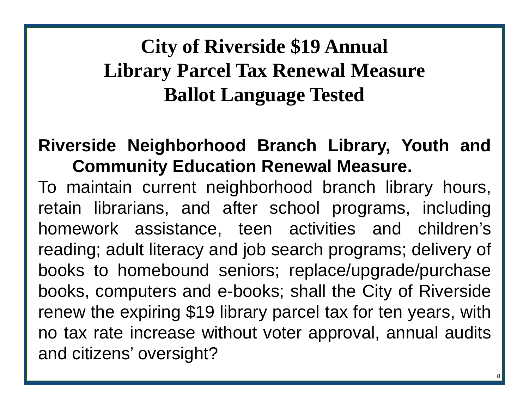# **City of Riverside \$19 Annual Library Parcel Tax Renewal Measure Ballot Language Tested**

#### **Riverside Neighborhood Branch Library, Youth and Community Education Renewal Measure.**

To maintain current neighborhood branch library hours, retain librarians, and after school programs, including homework assistance, teen activities and children's reading; adult literacy and job search programs; delivery of books to homebound seniors; replace/upgrade/purchase books, computers and e-books; shall the City of Riverside renew the expiring \$19 library parcel tax for ten years, with no tax rate increase without voter approval, annual audits and citizens' oversight?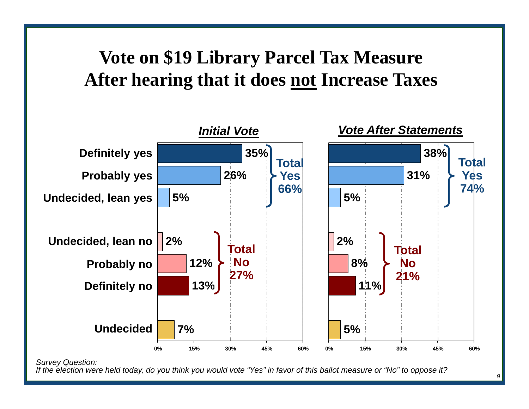#### **Vote on \$19 Library Parcel Tax Measure After hearing that it does <u>not</u> Increase Taxes**



*If the election were held today, do you think you would vote "Yes" in favor of this ballot measure or "No" to oppose it?*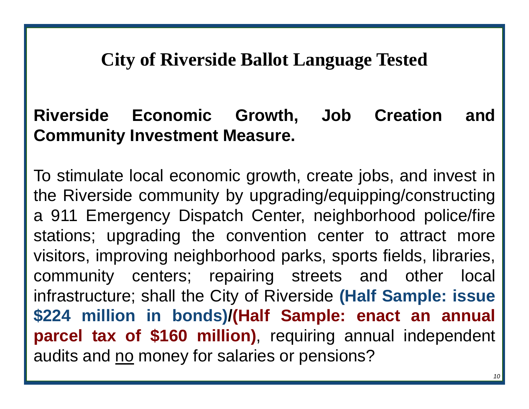#### **City of Riverside Ballot Language Tested**

#### **Riverside Economic Growth, Job Creation and Community Investment Measure.**

To stimulate local economic growth, create jobs, and invest in the Riverside community by upgrading/equipping/constructing <sup>a</sup> 911 Emergency Dispatch Center, neighborhood police/fire stations; upgrading the convention center to attract more visitors, improving neighborhood parks, sports fields, libraries, community centers; repairing streets and other local infrastructure; shall the City of Riverside **(Half Sample: issue \$224 million in bonds) /(Half Sample: enact an annual parcel tax of \$160 million)** requiring annual independent , audits and <u>no</u> money for salaries or pensions?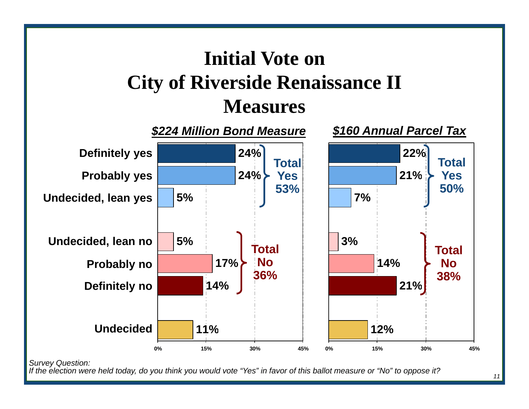

*If the election were held today, do you think you would vote "Yes" in favor of this ballot measure or "No" to oppose it?* 

*11*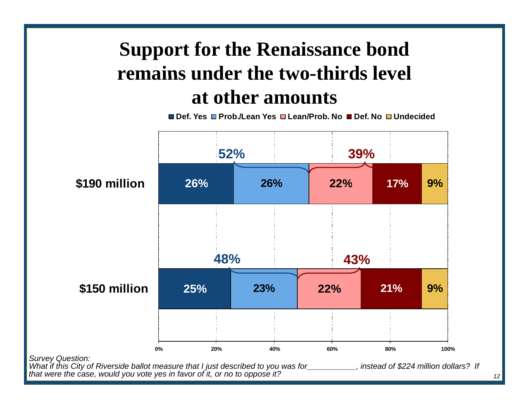# **Support for the Renaissance bond remains under the two -thirds level thirds at other amounts**

**Def. Yes Prob./Lean Yes Lean/Prob. No Def. No Undecided**



*<sup>12</sup>*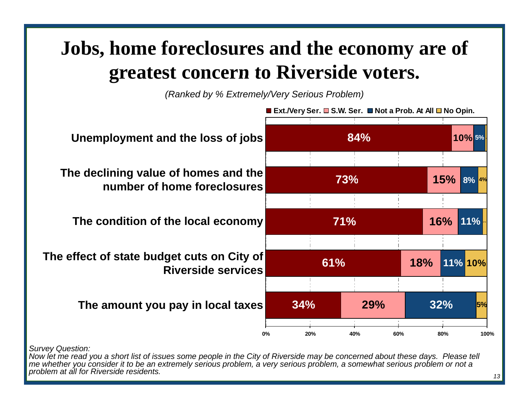## **Jobs, home foreclosures and the economy are of greatest concern to Riverside voters to voters .**

*(Ranked by % Extremely/Very Serious Problem)*



*Now let me read you a short list of issues some people in the City of Riverside may be concerned about these days. Please tell me whether you consider it to be an extremely serious problem, a very serious problem, a somewhat serious problem or not a problem at all for Riverside residents.*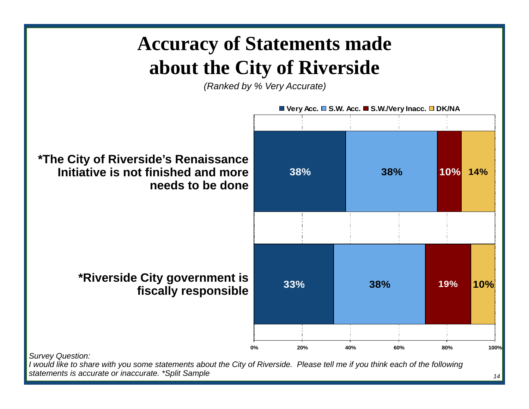# **Accuracy of Statements made about the Cit y of Riverside**

*(Ranked by % Very Accurate)*



*statements is accurate or inaccurate. \*Split Sample*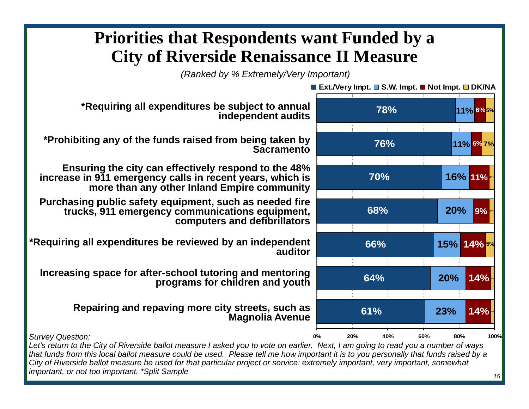#### **Priorities that Respondents want Funded by a City of Riverside Renaissance II Measure**

*(Ranked by % Extremely/Very Important)* 



*that funds from this local ballot measure could be used. Please tell me how important it is to you personally that funds raised by a City of Riverside ballot measure be used for that particular project or service: extremely important, very important, somewhat important, or not too important. \*Split Sample*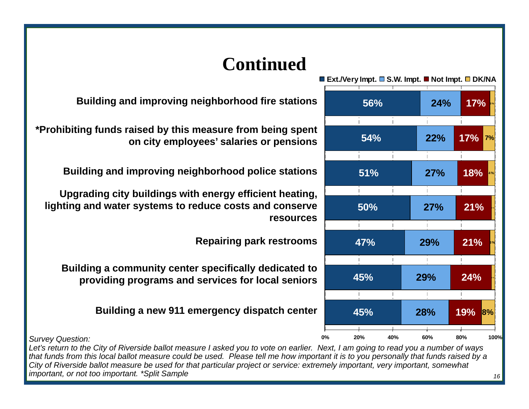

#### **Continued**

**Building and improving neighborhood fire stations**

**\*P hibiti f d i d b thi f b i t \*Prohibiting funds raised by this measure from being spenton city employees' salaries or pensions**

**Building and improving neighborhood police stations**

**Upgrading city buildings with energy efficient heating, lighting and water systems to reduce costs and conserve resources**

**Repairing park restrooms <sup>3</sup> %**

**Building a community center specifically dedicated to providing programs and services for local seniors programs**

**Building a new 911 emergency dispatch center**

*Survey Question:*

*Let's return to the City of Riverside ballot measure I asked you to vote on earlier. Next, I am going to read you a number of ways that funds from this local ballot measure could be used. Please tell me how important it is to you personally that funds raised by a City of Riverside ballot measure be used for that particular project or service: extremely important, very important, somewhat important, or not too important. \*Split Sample*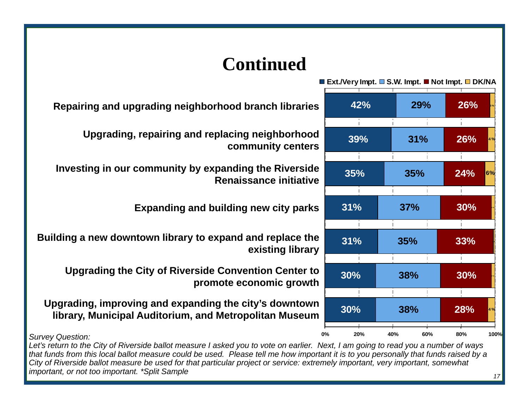#### **Continued**

|          | <b>■ Ext./Very Impt. ■ S.W. Impt. ■ Not Impt. ■ DK/NA</b> |     |     |     |                   |  |
|----------|-----------------------------------------------------------|-----|-----|-----|-------------------|--|
| iS.      | 42%<br>39%                                                |     | 29% |     | 26%<br>26%<br>4 % |  |
| d<br>'S  |                                                           |     | 31% |     |                   |  |
| le<br>e  | 35%                                                       |     | 35% | 24% | 6%                |  |
| S)       | 31%                                                       |     | 37% | 30% |                   |  |
| e<br>ʻУ  | 31%                                                       |     | 35% | 33% |                   |  |
| O.<br>:h | 30%                                                       |     | 38% | 30% |                   |  |
| 'n<br>m  | 30%                                                       |     | 38% | 28% | 4 %               |  |
| 0%       | 20%                                                       | 40% | 60% | 80% | 100%              |  |

**Repairing and upgrading neighborhood branch libraries**

**Upgrading, repairing and replacing neighborhood community center** 

**Investing in our community by expanding the Riverside Renaissance initiati e**

**Expanding and building new city park** 

**Building a new downtown library to expand and replace the 1 existing librar** 

**Upgrading the City of Riverside Convention Center to promote economic growth**

Upgrading, improving and expanding the city's downtow **library, Municipal Auditorium, and Metropolitan Museum**

*Survey Question:*

*Let's return to the City of Riverside ballot measure I asked you to vote on earlier. Next, I am going to read you a number of ways that funds from this local ballot measure could be used. Please tell me how important it is to you personally that funds raised by a City of Riverside ballot measure be used for that particular project or service: extremely important, very important, somewhat important, or not too important. \*Split Sample*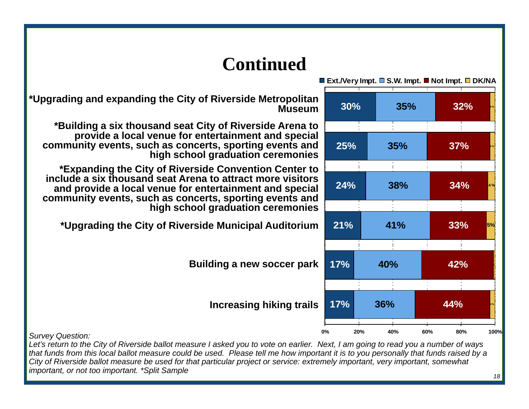

**\*Upgrading and expanding the City of Riverside Metropolitan** 

**\*Building <sup>a</sup> six thousand seat City of Riverside Arena to Building thousand provide a local venue for entertainment and special community events, such as concerts, sporting events and high school graduation ceremonies** 

**\*Expanding the City of Riverside Convention Center to include a six thousand seat Arena to attract more visitors to and provide a local venue for entertainment and special community events, such as concerts, sporting events and high school graduation ceremonies** 

**\*Upgrading the City of Riverside Municipal Auditorium pg g y p**

*S Q ti Survey Question:*

*Let's return to the City of Riverside ballot measure I asked you to vote on earlier. Next, I am going to read you a number of ways that funds from this local ballot measure could be used. Please tell me how important it is to you personally that funds raised by a City of Riverside ballot measure be used for that particular project or service: extremely important, very important, somewhat important, or not too important. \*Split Sample*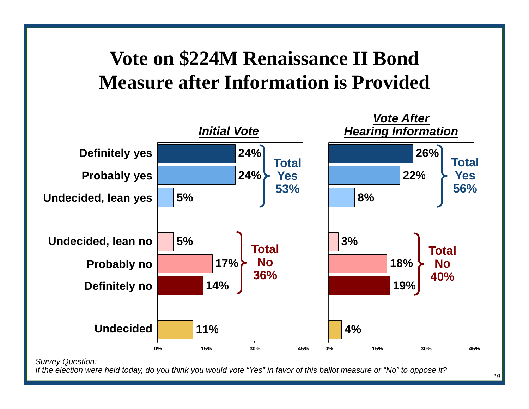## **Vote on \$224M Renaissance II Bond Measure after Information is Provided**



*If the election were held today, do you think you would vote "Yes" in favor of this ballot measure or "No" to oppose it?*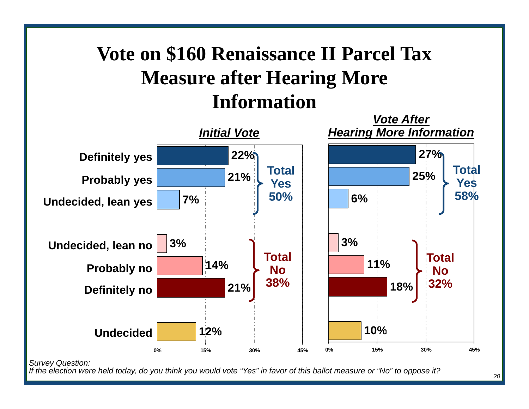# **Vote on \$160 Renaissance II Parcel Tax Measure after Hearing More Information**



*If the election were held today, do you think you would vote "Yes" in favor of this ballot measure or "No" to oppose it?*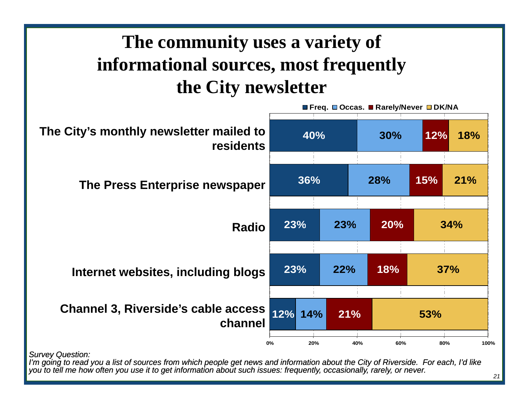## **The community uses a variety of informational sources, most frequently the City newsletter**



*I'm going to read you a list of sources from which people get news and information about the City of Riverside. For each, I'd like you to tell me how often you use it to get information about such issues: frequently, occasionally, rarely, or never.* 

*<sup>21</sup>*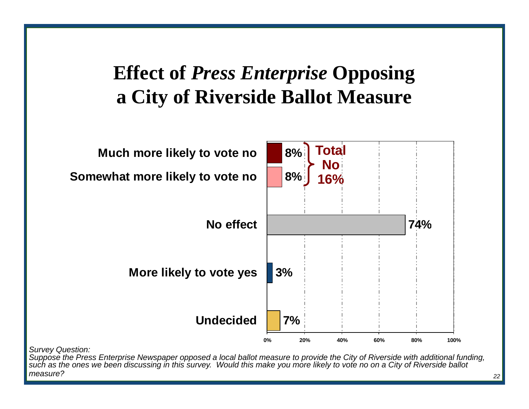## **Effect of** *Press Enterprise* **Opposing a City of Riverside Ballot Measure**



*Survey Question:*

*Suppose the Press Enterprise Newspaper opposed a local ballot measure to provide the City of Riverside with additional funding, such as the ones we been discussing in this survey. Would this make you more likely to vote no on a City of Riverside ballot measure?*